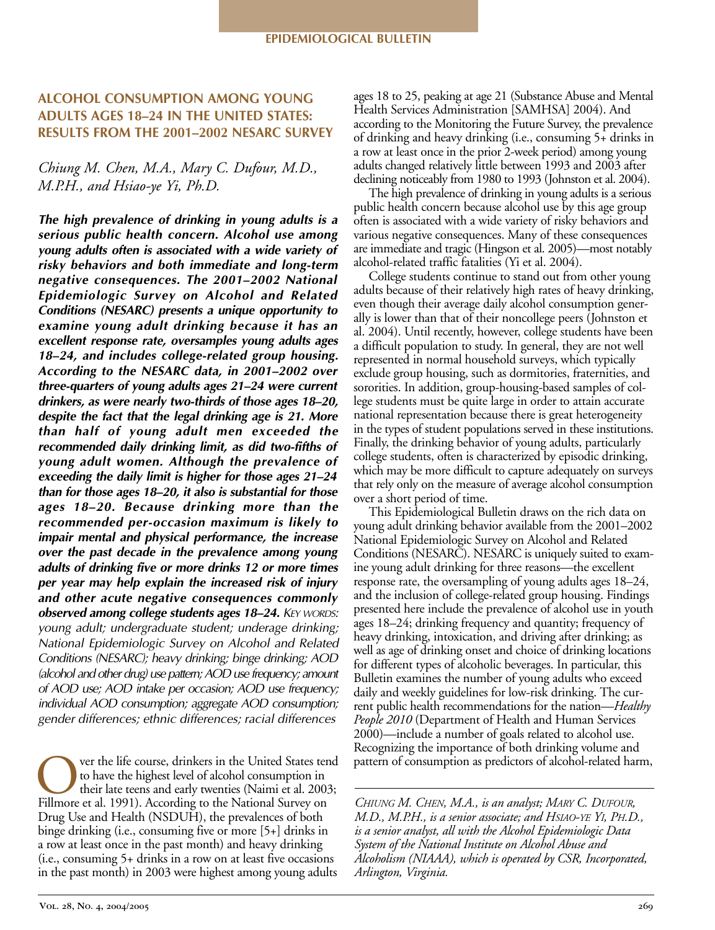# **ALCOHOL CONSUMPTION AMONG YOUNG ADULTS AGES 18–24 IN THE UNITED STATES: RESULTS FROM THE 2001–2002 NESARC SURVEY**

# *Chiung M. Chen, M.A., Mary C. Dufour, M.D., M.P.H., and Hsiao-ye Yi, Ph.D.*

*The high prevalence of drinking in young adults is a serious public health concern. Alcohol use among young adults often is associated with a wide variety of* risky behaviors and both immediate and long-term *negative consequences. The 2001–2002 National Epidemiologic Survey on Alcohol and Related Conditions (NESARC) presents a unique opportunity to examine young adult drinking because it has an excellent response rate, oversamples young adults ages* 18–24, and includes college-related group housing. *According to the NESARC data, in 2001–2002 over three-quarters of young adults ages 21–24 were current* drinkers, as were nearly two-thirds of those ages 18–20, *despite the fact that the legal drinking age is 21. More than half of young adult men exceeded the* recommended daily drinking limit, as did two-fifths of *young adult women. Although the prevalence of exceeding the daily limit is higher for those ages 21–24 than for those ages 18–20, it also is substantial for those ages 18–20. Because drinking more than the recommended peroccasion maximum is likely to impair mental and physical performance, the increase over the past decade in the prevalence among young adults of drinking five or more drinks 12 or more times per year may help explain the increased risk of injury and other acute negative consequences commonly observed among college students ages 18–24. KEY WORDS: young adult; undergraduate student; underage drinking; National Epidemiologic Survey on Alcohol and Related Conditions (NESARC); heavy drinking; binge drinking; AOD (alcohol and other drug) use pattern; AOD use frequency; amount of AOD use; AOD intake per occasion; AOD use frequency; individual AOD consumption; aggregate AOD consumption; gender differences; ethnic differences; racial differences*

Over the life course, drinkers in the United States tend<br>to have the highest level of alcohol consumption in<br>their late teens and early twenties (Naimi et al. 2003;<br>Fillmore et al. 1991). According to the National Survey o to have the highest level of alcohol consumption in their late teens and early twenties (Naimi et al. 2003; Fillmore et al. 1991). According to the National Survey on Drug Use and Health (NSDUH), the prevalences of both binge drinking (i.e., consuming five or more [5+] drinks in a row at least once in the past month) and heavy drinking (i.e., consuming 5+ drinks in a row on at least five occasions in the past month) in 2003 were highest among young adults ages 18 to 25, peaking at age 21 (Substance Abuse and Mental Health Services Administration [SAMHSA] 2004). And according to the Monitoring the Future Survey, the prevalence of drinking and heavy drinking (i.e., consuming 5+ drinks in a row at least once in the prior 2-week period) among young adults changed relatively little between 1993 and 2003 after declining noticeably from 1980 to 1993 (Johnston et al. 2004).

The high prevalence of drinking in young adults is a serious public health concern because alcohol use by this age group often is associated with a wide variety of risky behaviors and various negative consequences. Many of these consequences are immediate and tragic (Hingson et al. 2005)—most notably alcohol-related traffic fatalities (Yi et al. 2004).

College students continue to stand out from other young adults because of their relatively high rates of heavy drinking, even though their average daily alcohol consumption generally is lower than that of their noncollege peers (Johnston et al. 2004). Until recently, however, college students have been a difficult population to study. In general, they are not well represented in normal household surveys, which typically exclude group housing, such as dormitories, fraternities, and sororities. In addition, group-housing-based samples of college students must be quite large in order to attain accurate national representation because there is great heterogeneity in the types of student populations served in these institutions. Finally, the drinking behavior of young adults, particularly college students, often is characterized by episodic drinking, which may be more difficult to capture adequately on surveys that rely only on the measure of average alcohol consumption over a short period of time.

This Epidemiological Bulletin draws on the rich data on young adult drinking behavior available from the 2001–2002 National Epidemiologic Survey on Alcohol and Related Conditions (NESARC). NESARC is uniquely suited to examine young adult drinking for three reasons—the excellent response rate, the oversampling of young adults ages 18–24, and the inclusion of college-related group housing. Findings presented here include the prevalence of alcohol use in youth ages 18–24; drinking frequency and quantity; frequency of heavy drinking, intoxication, and driving after drinking; as well as age of drinking onset and choice of drinking locations for different types of alcoholic beverages. In particular, this Bulletin examines the number of young adults who exceed daily and weekly guidelines for low-risk drinking. The current public health recommendations for the nation—*Healthy People 2010* (Department of Health and Human Services 2000)—include a number of goals related to alcohol use. Recognizing the importance of both drinking volume and pattern of consumption as predictors of alcohol-related harm,

*CHIUNG M. CHEN, M.A., is an analyst; MARY C. DUFOUR, M.D., M.P.H., is a senior associate; and HSIAO-YE YI, PH.D., is a senior analyst, all with the Alcohol Epidemiologic Data System of the National Institute on Alcohol Abuse and Alcoholism (NIAAA), which is operated by CSR, Incorporated, Arlington, Virginia.*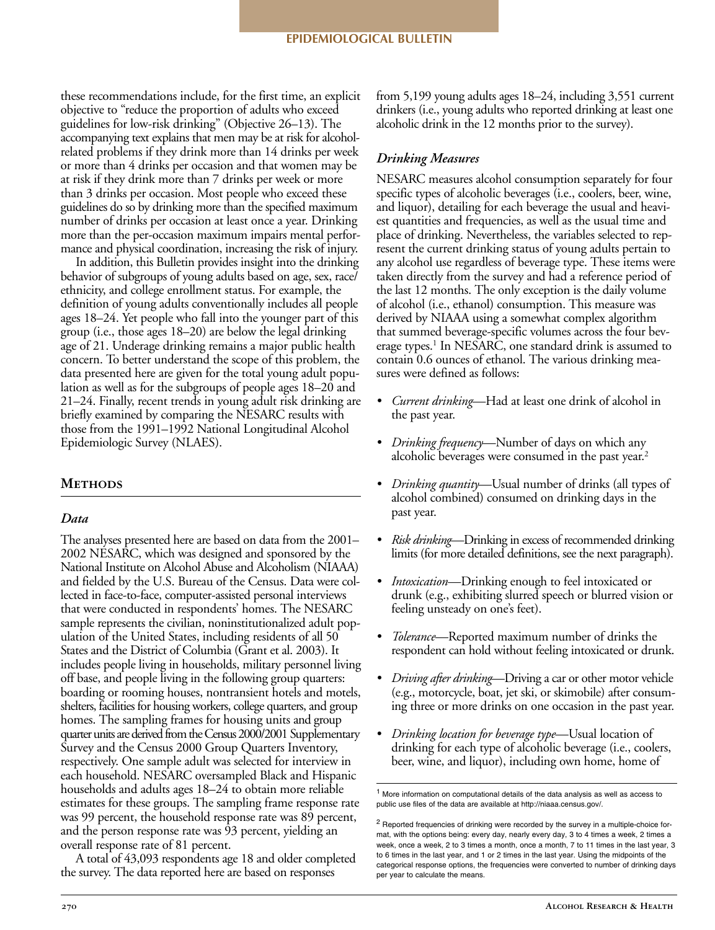these recommendations include, for the first time, an explicit objective to "reduce the proportion of adults who exceed guidelines for low-risk drinking" (Objective 26-13). The accompanying text explains that men may be at risk for alcoholrelated problems if they drink more than 14 drinks per week or more than 4 drinks per occasion and that women may be at risk if they drink more than 7 drinks per week or more than 3 drinks per occasion. Most people who exceed these guidelines do so by drinking more than the specified maximum number of drinks per occasion at least once a year. Drinking more than the per-occasion maximum impairs mental performance and physical coordination, increasing the risk of injury.

In addition, this Bulletin provides insight into the drinking behavior of subgroups of young adults based on age, sex, race/ ethnicity, and college enrollment status. For example, the definition of young adults conventionally includes all people ages 18–24. Yet people who fall into the younger part of this group (i.e., those ages 18–20) are below the legal drinking age of 21. Underage drinking remains a major public health concern. To better understand the scope of this problem, the data presented here are given for the total young adult population as well as for the subgroups of people ages 18–20 and 21–24. Finally, recent trends in young adult risk drinking are briefly examined by comparing the NESARC results with those from the 1991–1992 National Longitudinal Alcohol Epidemiologic Survey (NLAES).

### **Methods**

#### *Data*

The analyses presented here are based on data from the 2001– 2002 NESARC, which was designed and sponsored by the National Institute on Alcohol Abuse and Alcoholism (NIAAA) and fielded by the U.S. Bureau of the Census. Data were collected in face-to-face, computer-assisted personal interviews that were conducted in respondents' homes. The NESARC sample represents the civilian, noninstitutionalized adult population of the United States, including residents of all 50 States and the District of Columbia (Grant et al. 2003). It includes people living in households, military personnel living off base, and people living in the following group quarters: boarding or rooming houses, nontransient hotels and motels, shelters, facilities for housing workers, college quarters, and group homes. The sampling frames for housing units and group quarter units are derived from the Census 2000/2001 Supplementary Survey and the Census 2000 Group Quarters Inventory, respectively. One sample adult was selected for interview in each household. NESARC oversampled Black and Hispanic households and adults ages 18–24 to obtain more reliable estimates for these groups. The sampling frame response rate was 99 percent, the household response rate was 89 percent, and the person response rate was 93 percent, yielding an overall response rate of 81 percent.

A total of 43,093 respondents age 18 and older completed the survey. The data reported here are based on responses

from 5,199 young adults ages 18–24, including 3,551 current drinkers (i.e., young adults who reported drinking at least one alcoholic drink in the 12 months prior to the survey).

### *Drinking Measures*

NESARC measures alcohol consumption separately for four specific types of alcoholic beverages (i.e., coolers, beer, wine, and liquor), detailing for each beverage the usual and heaviest quantities and frequencies, as well as the usual time and place of drinking. Nevertheless, the variables selected to represent the current drinking status of young adults pertain to any alcohol use regardless of beverage type. These items were taken directly from the survey and had a reference period of the last 12 months. The only exception is the daily volume of alcohol (i.e., ethanol) consumption. This measure was derived by NIAAA using a somewhat complex algorithm that summed beverage-specific volumes across the four beverage types.<sup>1</sup> In NESARC, one standard drink is assumed to contain 0.6 ounces of ethanol. The various drinking measures were defined as follows:

- *• Current drinking*—Had at least one drink of alcohol in the past year.
- *• Drinking frequency*—Number of days on which any alcoholic beverages were consumed in the past year.<sup>2</sup>
- *• Drinking quantity*—Usual number of drinks (all types of alcohol combined) consumed on drinking days in the past year.
- *• Risk drinking*—Drinking in excess of recommended drinking limits (for more detailed definitions, see the next paragraph).
- *• Intoxication*—Drinking enough to feel intoxicated or drunk (e.g., exhibiting slurred speech or blurred vision or feeling unsteady on one's feet).
- *• Tolerance*—Reported maximum number of drinks the respondent can hold without feeling intoxicated or drunk.
- *• Driving after drinking*—Driving a car or other motor vehicle (e.g., motorcycle, boat, jet ski, or skimobile) after consuming three or more drinks on one occasion in the past year.
- *• Drinking location for beverage type*—Usual location of drinking for each type of alcoholic beverage (i.e., coolers, beer, wine, and liquor), including own home, home of

<sup>1</sup> More information on computational details of the data analysis as well as access to public use files of the data are available at http://niaaa.census.gov/.

<sup>&</sup>lt;sup>2</sup> Reported frequencies of drinking were recorded by the survey in a multiple-choice format, with the options being: every day, nearly every day, 3 to 4 times a week, 2 times a week, once a week, 2 to 3 times a month, once a month, 7 to 11 times in the last year, 3 to 6 times in the last year, and 1 or 2 times in the last year. Using the midpoints of the categorical response options, the frequencies were converted to number of drinking days per year to calculate the means.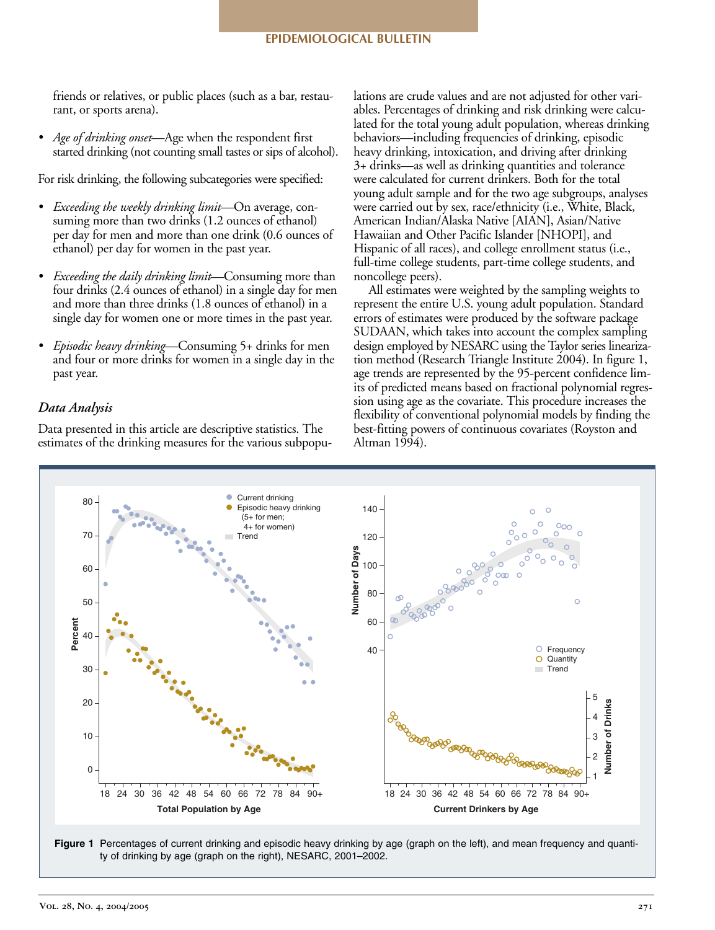friends or relatives, or public places (such as a bar, restaurant, or sports arena).

*• Age of drinking onset*—Age when the respondent first started drinking (not counting small tastes or sips of alcohol).

For risk drinking, the following subcategories were specified:

- *• Exceeding the weekly drinking limit*—On average, consuming more than two drinks (1.2 ounces of ethanol) per day for men and more than one drink (0.6 ounces of ethanol) per day for women in the past year.
- *• Exceeding the daily drinking limit*—Consuming more than four drinks (2.4 ounces of ethanol) in a single day for men and more than three drinks (1.8 ounces of ethanol) in a single day for women one or more times in the past year.
- *• Episodic heavy drinking*—Consuming 5+ drinks for men and four or more drinks for women in a single day in the past year.

### *Data Analysis*

Data presented in this article are descriptive statistics. The estimates of the drinking measures for the various subpopulations are crude values and are not adjusted for other variables. Percentages of drinking and risk drinking were calculated for the total young adult population, whereas drinking behaviors—including frequencies of drinking, episodic heavy drinking, intoxication, and driving after drinking 3+ drinks—as well as drinking quantities and tolerance were calculated for current drinkers. Both for the total young adult sample and for the two age subgroups, analyses were carried out by sex, race/ethnicity (i.e., White, Black, American Indian/Alaska Native [AIAN], Asian/Native Hawaiian and Other Pacific Islander [NHOPI], and Hispanic of all races), and college enrollment status (i.e., full-time college students, part-time college students, and noncollege peers).

All estimates were weighted by the sampling weights to represent the entire U.S. young adult population. Standard errors of estimates were produced by the software package SUDAAN, which takes into account the complex sampling design employed by NESARC using the Taylor series linearization method (Research Triangle Institute 2004). In figure 1, age trends are represented by the 95-percent confidence limits of predicted means based on fractional polynomial regression using age as the covariate. This procedure increases the flexibility of conventional polynomial models by finding the best-fitting powers of continuous covariates (Royston and Altman 1994).



**Figure 1** Percentages of current drinking and episodic heavy drinking by age (graph on the left), and mean frequency and quantity of drinking by age (graph on the right), NESARC, 2001–2002.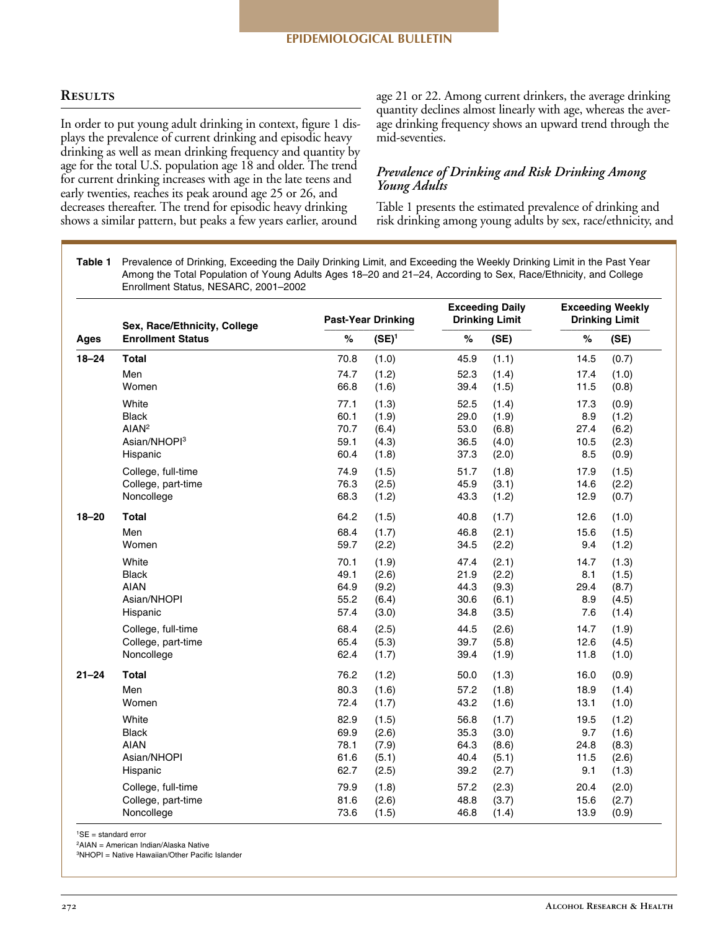# **Results**

In order to put young adult drinking in context, figure 1 displays the prevalence of current drinking and episodic heavy drinking as well as mean drinking frequency and quantity by age for the total U.S. population age 18 and older. The trend for current drinking increases with age in the late teens and early twenties, reaches its peak around age 25 or 26, and decreases thereafter. The trend for episodic heavy drinking shows a similar pattern, but peaks a few years earlier, around

age 21 or 22. Among current drinkers, the average drinking quantity declines almost linearly with age, whereas the average drinking frequency shows an upward trend through the mid-seventies.

## *Prevalence of Drinking and Risk Drinking Among Young Adults*

Table 1 presents the estimated prevalence of drinking and risk drinking among young adults by sex, race/ethnicity, and

**Table 1** Prevalence of Drinking, Exceeding the Daily Drinking Limit, and Exceeding the Weekly Drinking Limit in the Past Year Among the Total Population of Young Adults Ages 18–20 and 21–24, According to Sex, Race/Ethnicity, and College Enrollment Status, NESARC, 2001–2002

| Ages      | Sex, Race/Ethnicity, College<br><b>Enrollment Status</b> |      | <b>Past-Year Drinking</b> | <b>Exceeding Daily</b><br><b>Drinking Limit</b> |       | <b>Exceeding Weekly</b><br><b>Drinking Limit</b> |       |  |
|-----------|----------------------------------------------------------|------|---------------------------|-------------------------------------------------|-------|--------------------------------------------------|-------|--|
|           |                                                          | $\%$ | $(SE)^1$                  | $\%$                                            | (SE)  | $\%$                                             | (SE)  |  |
| $18 - 24$ | <b>Total</b>                                             | 70.8 | (1.0)                     | 45.9                                            | (1.1) | 14.5                                             | (0.7) |  |
|           | Men                                                      | 74.7 | (1.2)                     | 52.3                                            | (1.4) | 17.4                                             | (1.0) |  |
|           | Women                                                    | 66.8 | (1.6)                     | 39.4                                            | (1.5) | 11.5                                             | (0.8) |  |
|           | White                                                    | 77.1 | (1.3)                     | 52.5                                            | (1.4) | 17.3                                             | (0.9) |  |
|           | <b>Black</b>                                             | 60.1 | (1.9)                     | 29.0                                            | (1.9) | 8.9                                              | (1.2) |  |
|           | AIAN <sup>2</sup>                                        | 70.7 | (6.4)                     | 53.0                                            | (6.8) | 27.4                                             | (6.2) |  |
|           | Asian/NHOPI3                                             | 59.1 | (4.3)                     | 36.5                                            | (4.0) | 10.5                                             | (2.3) |  |
|           | Hispanic                                                 | 60.4 | (1.8)                     | 37.3                                            | (2.0) | 8.5                                              | (0.9) |  |
|           | College, full-time                                       | 74.9 | (1.5)                     | 51.7                                            | (1.8) | 17.9                                             | (1.5) |  |
|           | College, part-time                                       | 76.3 | (2.5)                     | 45.9                                            | (3.1) | 14.6                                             | (2.2) |  |
|           | Noncollege                                               | 68.3 | (1.2)                     | 43.3                                            | (1.2) | 12.9                                             | (0.7) |  |
| $18 - 20$ | <b>Total</b>                                             | 64.2 | (1.5)                     | 40.8                                            | (1.7) | 12.6                                             | (1.0) |  |
|           | Men                                                      | 68.4 | (1.7)                     | 46.8                                            | (2.1) | 15.6                                             | (1.5) |  |
|           | Women                                                    | 59.7 | (2.2)                     | 34.5                                            | (2.2) | 9.4                                              | (1.2) |  |
|           | White                                                    | 70.1 | (1.9)                     | 47.4                                            | (2.1) | 14.7                                             | (1.3) |  |
|           | <b>Black</b>                                             | 49.1 | (2.6)                     | 21.9                                            | (2.2) | 8.1                                              | (1.5) |  |
|           | <b>AIAN</b>                                              | 64.9 | (9.2)                     | 44.3                                            | (9.3) | 29.4                                             | (8.7) |  |
|           | Asian/NHOPI                                              | 55.2 | (6.4)                     | 30.6                                            | (6.1) | 8.9                                              | (4.5) |  |
|           | Hispanic                                                 | 57.4 | (3.0)                     | 34.8                                            | (3.5) | 7.6                                              | (1.4) |  |
|           | College, full-time                                       | 68.4 | (2.5)                     | 44.5                                            | (2.6) | 14.7                                             | (1.9) |  |
|           | College, part-time                                       | 65.4 | (5.3)                     | 39.7                                            | (5.8) | 12.6                                             | (4.5) |  |
|           | Noncollege                                               | 62.4 | (1.7)                     | 39.4                                            | (1.9) | 11.8                                             | (1.0) |  |
| $21 - 24$ | <b>Total</b>                                             | 76.2 | (1.2)                     | 50.0                                            | (1.3) | 16.0                                             | (0.9) |  |
|           | Men                                                      | 80.3 | (1.6)                     | 57.2                                            | (1.8) | 18.9                                             | (1.4) |  |
|           | Women                                                    | 72.4 | (1.7)                     | 43.2                                            | (1.6) | 13.1                                             | (1.0) |  |
|           | White                                                    | 82.9 | (1.5)                     | 56.8                                            | (1.7) | 19.5                                             | (1.2) |  |
|           | <b>Black</b>                                             | 69.9 | (2.6)                     | 35.3                                            | (3.0) | 9.7                                              | (1.6) |  |
|           | <b>AIAN</b>                                              | 78.1 | (7.9)                     | 64.3                                            | (8.6) | 24.8                                             | (8.3) |  |
|           | Asian/NHOPI                                              | 61.6 | (5.1)                     | 40.4                                            | (5.1) | 11.5                                             | (2.6) |  |
|           | Hispanic                                                 | 62.7 | (2.5)                     | 39.2                                            | (2.7) | 9.1                                              | (1.3) |  |
|           | College, full-time                                       | 79.9 | (1.8)                     | 57.2                                            | (2.3) | 20.4                                             | (2.0) |  |
|           | College, part-time                                       | 81.6 | (2.6)                     | 48.8                                            | (3.7) | 15.6                                             | (2.7) |  |
|           | Noncollege                                               | 73.6 | (1.5)                     | 46.8                                            | (1.4) | 13.9                                             | (0.9) |  |

1SE = standard error

2AIAN = American Indian/Alaska Native

3NHOPI = Native Hawaiian/Other Pacific Islander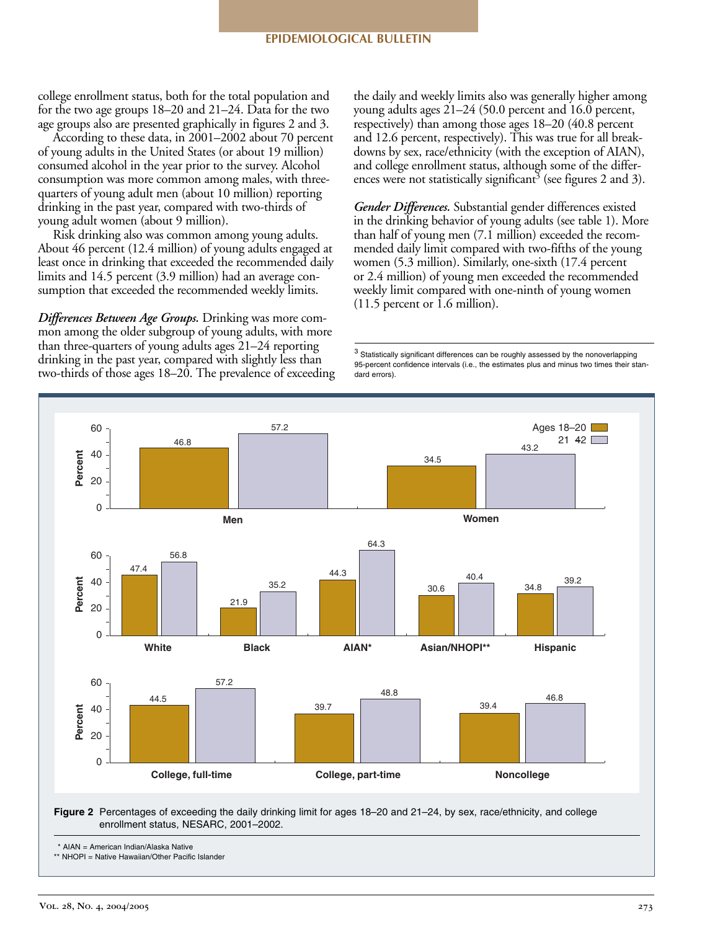college enrollment status, both for the total population and for the two age groups 18–20 and 21–24. Data for the two age groups also are presented graphically in figures 2 and 3.

According to these data, in 2001–2002 about 70 percent of young adults in the United States (or about 19 million) consumed alcohol in the year prior to the survey. Alcohol consumption was more common among males, with threequarters of young adult men (about 10 million) reporting drinking in the past year, compared with two-thirds of young adult women (about 9 million).

Risk drinking also was common among young adults. About 46 percent (12.4 million) of young adults engaged at least once in drinking that exceeded the recommended daily limits and 14.5 percent (3.9 million) had an average consumption that exceeded the recommended weekly limits.

*Differences Between Age Groups.* Drinking was more common among the older subgroup of young adults, with more than three-quarters of young adults ages  $21-24$  reporting drinking in the past year, compared with slightly less than two-thirds of those ages  $18-20$ . The prevalence of exceeding the daily and weekly limits also was generally higher among young adults ages 21–24 (50.0 percent and 16.0 percent, respectively) than among those ages 18–20 (40.8 percent and 12.6 percent, respectively). This was true for all breakdowns by sex, race/ethnicity (with the exception of AIAN), and college enrollment status, although some of the differences were not statistically significant<sup>3</sup> (see figures 2 and 3).

*Gender Differences.* Substantial gender differences existed in the drinking behavior of young adults (see table 1). More than half of young men (7.1 million) exceeded the recommended daily limit compared with two-fifths of the young women (5.3 million). Similarly, one-sixth (17.4 percent or 2.4 million) of young men exceeded the recommended weekly limit compared with one-ninth of young women (11.5 percent or 1.6 million).

 $3$  Statistically significant differences can be roughly assessed by the nonoverlapping 95-percent confidence intervals (i.e., the estimates plus and minus two times their standard errors).



**Figure 2** Percentages of exceeding the daily drinking limit for ages 18–20 and 21–24, by sex, race/ethnicity, and college enrollment status, NESARC, 2001–2002.

<sup>\*</sup> AIAN = American Indian/Alaska Native

<sup>\*\*</sup> NHOPI = Native Hawaiian/Other Pacific Islander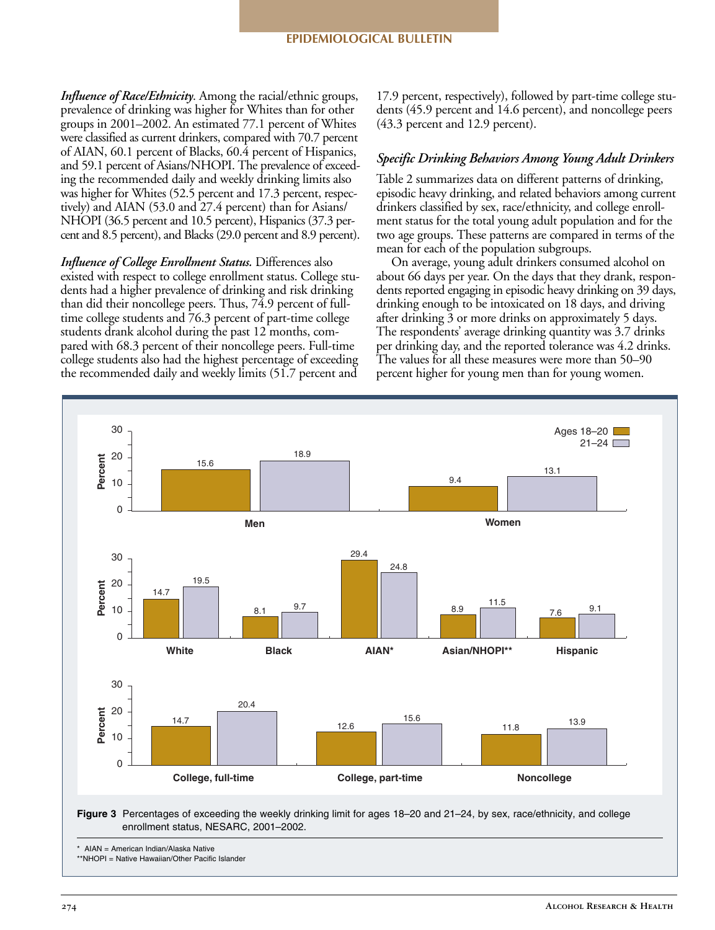*Influence of Race/Ethnicity*. Among the racial/ethnic groups, prevalence of drinking was higher for Whites than for other groups in 2001–2002. An estimated 77.1 percent of Whites were classified as current drinkers, compared with 70.7 percent of AIAN, 60.1 percent of Blacks, 60.4 percent of Hispanics, and 59.1 percent of Asians/NHOPI. The prevalence of exceeding the recommended daily and weekly drinking limits also was higher for Whites (52.5 percent and 17.3 percent, respectively) and AIAN (53.0 and 27.4 percent) than for Asians/ NHOPI (36.5 percent and 10.5 percent), Hispanics (37.3 percent and 8.5 percent), and Blacks (29.0 percent and 8.9 percent).

*Influence of College Enrollment Status.* Differences also existed with respect to college enrollment status. College students had a higher prevalence of drinking and risk drinking than did their noncollege peers. Thus, 74.9 percent of fulltime college students and 76.3 percent of part-time college students drank alcohol during the past 12 months, compared with 68.3 percent of their noncollege peers. Full-time college students also had the highest percentage of exceeding the recommended daily and weekly limits (51.7 percent and

17.9 percent, respectively), followed by part-time college students (45.9 percent and 14.6 percent), and noncollege peers (43.3 percent and 12.9 percent).

## *Specific Drinking Behaviors Among Young Adult Drinkers*

Table 2 summarizes data on different patterns of drinking, episodic heavy drinking, and related behaviors among current drinkers classified by sex, race/ethnicity, and college enrollment status for the total young adult population and for the two age groups. These patterns are compared in terms of the mean for each of the population subgroups.

On average, young adult drinkers consumed alcohol on about 66 days per year. On the days that they drank, respondents reported engaging in episodic heavy drinking on 39 days, drinking enough to be intoxicated on 18 days, and driving after drinking 3 or more drinks on approximately 5 days. The respondents' average drinking quantity was 3.7 drinks per drinking day, and the reported tolerance was 4.2 drinks. The values for all these measures were more than 50–90 percent higher for young men than for young women.



**Figure 3** Percentages of exceeding the weekly drinking limit for ages 18–20 and 21–24, by sex, race/ethnicity, and college enrollment status, NESARC, 2001–2002.

AIAN = American Indian/Alaska Native

\*\*NHOPI = Native Hawaiian/Other Pacific Islander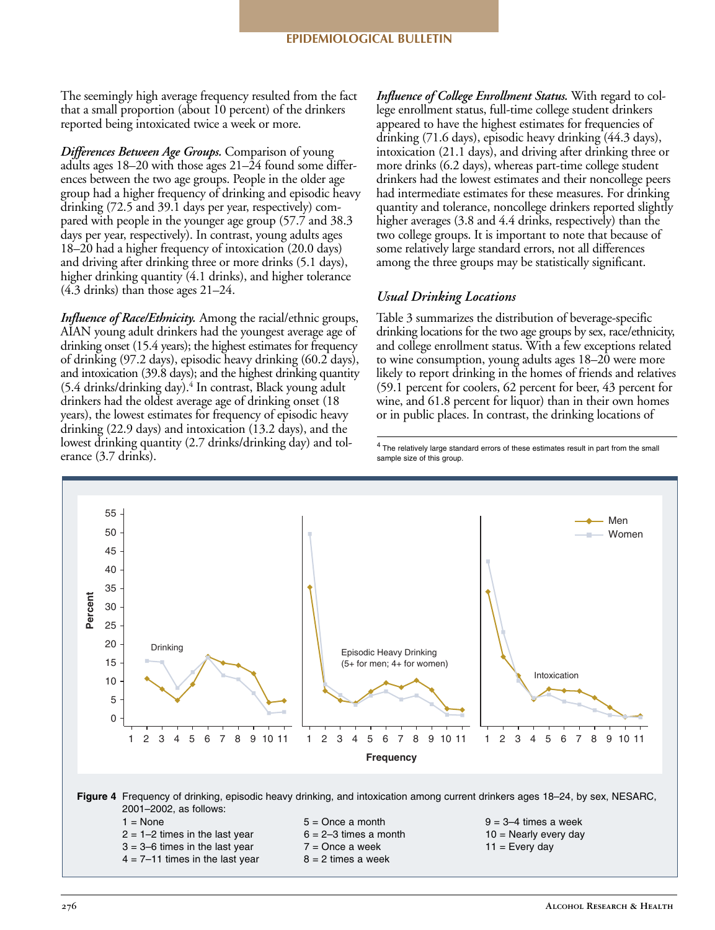The seemingly high average frequency resulted from the fact that a small proportion (about 10 percent) of the drinkers reported being intoxicated twice a week or more.

*Differences Between Age Groups.* Comparison of young adults ages 18–20 with those ages 21–24 found some differences between the two age groups. People in the older age group had a higher frequency of drinking and episodic heavy drinking (72.5 and 39.1 days per year, respectively) compared with people in the younger age group (57.7 and 38.3 days per year, respectively). In contrast, young adults ages 18–20 had a higher frequency of intoxication (20.0 days) and driving after drinking three or more drinks (5.1 days), higher drinking quantity (4.1 drinks), and higher tolerance (4.3 drinks) than those ages 21–24.

*Influence of Race/Ethnicity.* Among the racial/ethnic groups, AIAN young adult drinkers had the youngest average age of drinking onset (15.4 years); the highest estimates for frequency of drinking (97.2 days), episodic heavy drinking (60.2 days), and intoxication (39.8 days); and the highest drinking quantity  $(5.4 \text{ drinks}/\text{drinking day})$ .<sup>4</sup> In contrast, Black young adult drinkers had the oldest average age of drinking onset (18 years), the lowest estimates for frequency of episodic heavy drinking (22.9 days) and intoxication (13.2 days), and the lowest drinking quantity (2.7 drinks/drinking day) and tolerance (3.7 drinks).

*Influence of College Enrollment Status.* With regard to college enrollment status, full-time college student drinkers appeared to have the highest estimates for frequencies of drinking (71.6 days), episodic heavy drinking (44.3 days), intoxication (21.1 days), and driving after drinking three or more drinks (6.2 days), whereas part-time college student drinkers had the lowest estimates and their noncollege peers had intermediate estimates for these measures. For drinking quantity and tolerance, noncollege drinkers reported slightly higher averages (3.8 and 4.4 drinks, respectively) than the two college groups. It is important to note that because of some relatively large standard errors, not all differences among the three groups may be statistically significant.

## *Usual Drinking Locations*

Table 3 summarizes the distribution of beverage-specific drinking locations for the two age groups by sex, race/ethnicity, and college enrollment status. With a few exceptions related to wine consumption, young adults ages 18–20 were more likely to report drinking in the homes of friends and relatives (59.1 percent for coolers, 62 percent for beer, 43 percent for wine, and 61.8 percent for liquor) than in their own homes or in public places. In contrast, the drinking locations of

<sup>4</sup> The relatively large standard errors of these estimates result in part from the small sample size of this group.

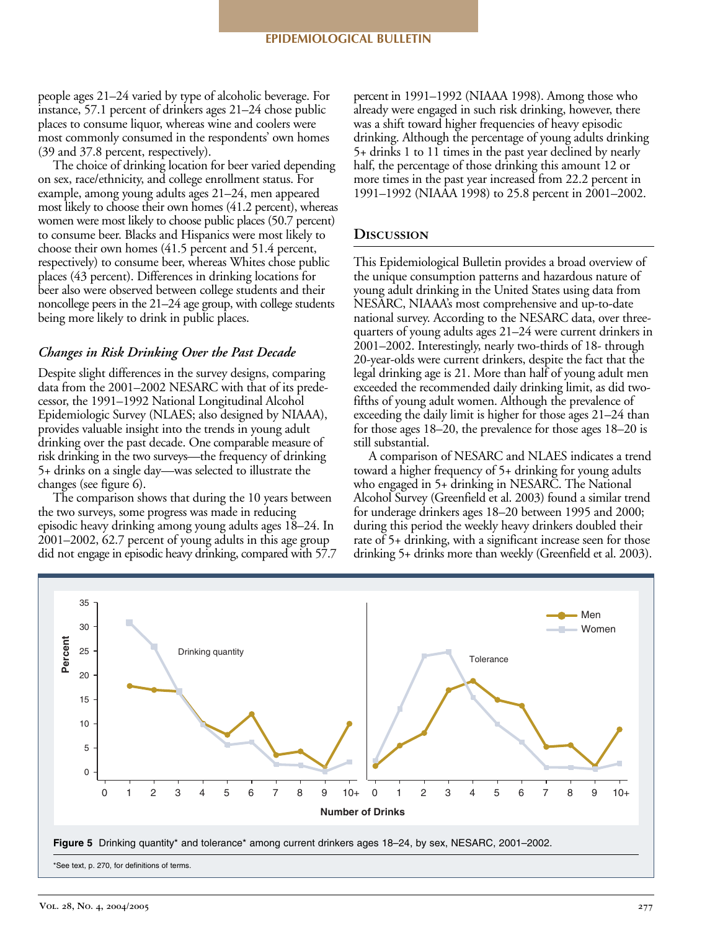people ages 21–24 varied by type of alcoholic beverage. For instance, 57.1 percent of drinkers ages 21–24 chose public places to consume liquor, whereas wine and coolers were most commonly consumed in the respondents' own homes (39 and 37.8 percent, respectively).

The choice of drinking location for beer varied depending on sex, race/ethnicity, and college enrollment status. For example, among young adults ages 21–24, men appeared most likely to choose their own homes (41.2 percent), whereas women were most likely to choose public places (50.7 percent) to consume beer. Blacks and Hispanics were most likely to choose their own homes (41.5 percent and 51.4 percent, respectively) to consume beer, whereas Whites chose public places (43 percent). Differences in drinking locations for beer also were observed between college students and their noncollege peers in the 21–24 age group, with college students being more likely to drink in public places.

### *Changes in Risk Drinking Over the Past Decade*

Despite slight differences in the survey designs, comparing data from the 2001–2002 NESARC with that of its predecessor, the 1991–1992 National Longitudinal Alcohol Epidemiologic Survey (NLAES; also designed by NIAAA), provides valuable insight into the trends in young adult drinking over the past decade. One comparable measure of risk drinking in the two surveys—the frequency of drinking 5+ drinks on a single day—was selected to illustrate the changes (see figure 6).

The comparison shows that during the 10 years between the two surveys, some progress was made in reducing episodic heavy drinking among young adults ages 18–24. In 2001–2002, 62.7 percent of young adults in this age group did not engage in episodic heavy drinking, compared with 57.7

percent in 1991–1992 (NIAAA 1998). Among those who already were engaged in such risk drinking, however, there was a shift toward higher frequencies of heavy episodic drinking. Although the percentage of young adults drinking 5+ drinks 1 to 11 times in the past year declined by nearly half, the percentage of those drinking this amount 12 or more times in the past year increased from 22.2 percent in 1991–1992 (NIAAA 1998) to 25.8 percent in 2001–2002.

### **Discussion**

This Epidemiological Bulletin provides a broad overview of the unique consumption patterns and hazardous nature of young adult drinking in the United States using data from NESARC, NIAAA's most comprehensive and up-to-date national survey. According to the NESARC data, over threequarters of young adults ages 21–24 were current drinkers in 2001–2002. Interestingly, nearly two-thirds of 18- through 20-year-olds were current drinkers, despite the fact that the legal drinking age is 21. More than half of young adult men exceeded the recommended daily drinking limit, as did twofifths of young adult women. Although the prevalence of exceeding the daily limit is higher for those ages 21–24 than for those ages 18–20, the prevalence for those ages 18–20 is still substantial.

A comparison of NESARC and NLAES indicates a trend toward a higher frequency of 5+ drinking for young adults who engaged in 5+ drinking in NESARC. The National Alcohol Survey (Greenfield et al. 2003) found a similar trend for underage drinkers ages 18–20 between 1995 and 2000; during this period the weekly heavy drinkers doubled their rate of 5+ drinking, with a significant increase seen for those drinking 5+ drinks more than weekly (Greenfield et al. 2003).

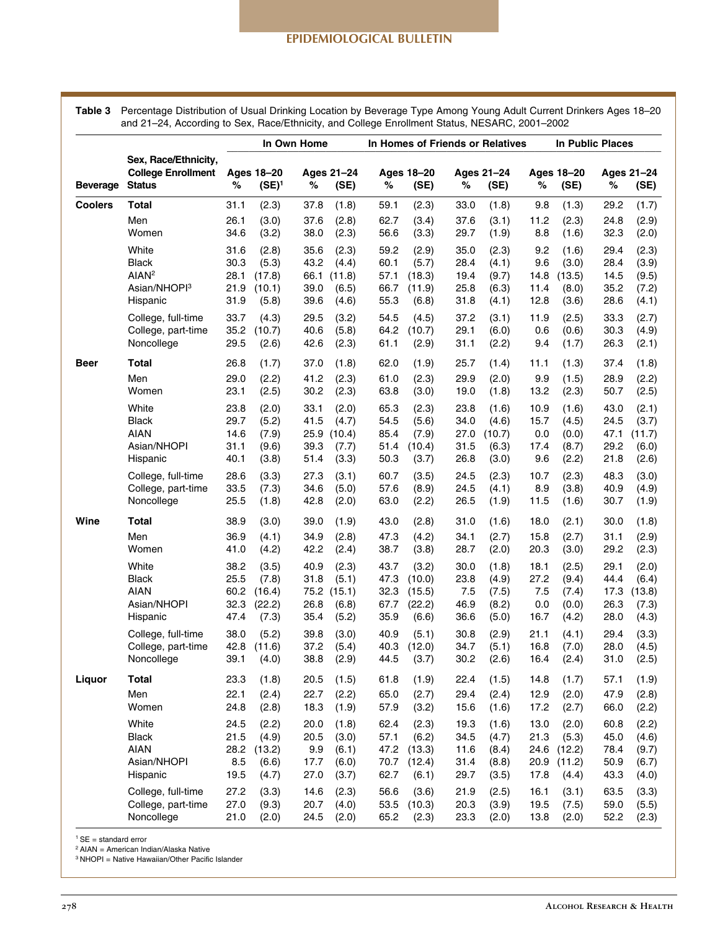**Table 3**  Percentage Distribution of Usual Drinking Location by Beverage Type Among Young Adult Current Drinkers Ages 18–20 and 21–24, According to Sex, Race/Ethnicity, and College Enrollment Status, NESARC, 2001–2002

|                 | Sex, Race/Ethnicity,<br><b>College Enrollment</b><br><b>Status</b>          | In Own Home                          |                                             |                                      | In Homes of Friends or Relatives                |                                      |                                              |                                      |                                            | In Public Places                     |                                             |                                      |                                            |
|-----------------|-----------------------------------------------------------------------------|--------------------------------------|---------------------------------------------|--------------------------------------|-------------------------------------------------|--------------------------------------|----------------------------------------------|--------------------------------------|--------------------------------------------|--------------------------------------|---------------------------------------------|--------------------------------------|--------------------------------------------|
| <b>Beverage</b> |                                                                             | $\%$                                 | Ages 18-20<br>$(SE)^1$                      | %                                    | Ages 21-24<br>(SE)                              | %                                    | Ages 18-20<br>(SE)                           | %                                    | Ages 21-24<br>(SE)                         | $\%$                                 | Ages 18-20<br>(SE)                          | ℅                                    | Ages 21-24<br>(SE)                         |
| <b>Coolers</b>  | Total                                                                       | 31.1                                 | (2.3)                                       | 37.8                                 | (1.8)                                           | 59.1                                 | (2.3)                                        | 33.0                                 | (1.8)                                      | 9.8                                  | (1.3)                                       | 29.2                                 | (1.7)                                      |
|                 | Men<br>Women                                                                | 26.1<br>34.6                         | (3.0)<br>(3.2)                              | 37.6<br>38.0                         | (2.8)<br>(2.3)                                  | 62.7<br>56.6                         | (3.4)<br>(3.3)                               | 37.6<br>29.7                         | (3.1)<br>(1.9)                             | 11.2<br>8.8                          | (2.3)<br>(1.6)                              | 24.8<br>32.3                         | (2.9)<br>(2.0)                             |
|                 | White<br>Black<br>AIAN <sup>2</sup><br>Asian/NHOPI <sup>3</sup><br>Hispanic | 31.6<br>30.3<br>28.1<br>21.9<br>31.9 | (2.8)<br>(5.3)<br>(17.8)<br>(10.1)<br>(5.8) | 35.6<br>43.2<br>66.1<br>39.0<br>39.6 | (2.3)<br>(4.4)<br>(11.8)<br>(6.5)<br>(4.6)      | 59.2<br>60.1<br>57.1<br>66.7<br>55.3 | (2.9)<br>(5.7)<br>(18.3)<br>(11.9)<br>(6.8)  | 35.0<br>28.4<br>19.4<br>25.8<br>31.8 | (2.3)<br>(4.1)<br>(9.7)<br>(6.3)<br>(4.1)  | 9.2<br>9.6<br>14.8<br>11.4<br>12.8   | (1.6)<br>(3.0)<br>(13.5)<br>(8.0)<br>(3.6)  | 29.4<br>28.4<br>14.5<br>35.2<br>28.6 | (2.3)<br>(3.9)<br>(9.5)<br>(7.2)<br>(4.1)  |
|                 | College, full-time<br>College, part-time<br>Noncollege                      | 33.7<br>35.2<br>29.5                 | (4.3)<br>(10.7)<br>(2.6)                    | 29.5<br>40.6<br>42.6                 | (3.2)<br>(5.8)<br>(2.3)                         | 54.5<br>64.2<br>61.1                 | (4.5)<br>(10.7)<br>(2.9)                     | 37.2<br>29.1<br>31.1                 | (3.1)<br>(6.0)<br>(2.2)                    | 11.9<br>0.6<br>9.4                   | (2.5)<br>(0.6)<br>(1.7)                     | 33.3<br>30.3<br>26.3                 | (2.7)<br>(4.9)<br>(2.1)                    |
| Beer            | Total<br>Men<br>Women                                                       | 26.8<br>29.0<br>23.1                 | (1.7)<br>(2.2)<br>(2.5)                     | 37.0<br>41.2<br>30.2                 | (1.8)<br>(2.3)<br>(2.3)                         | 62.0<br>61.0<br>63.8                 | (1.9)<br>(2.3)<br>(3.0)                      | 25.7<br>29.9<br>19.0                 | (1.4)<br>(2.0)<br>(1.8)                    | 11.1<br>9.9<br>13.2                  | (1.3)<br>(1.5)<br>(2.3)                     | 37.4<br>28.9<br>50.7                 | (1.8)<br>(2.2)<br>(2.5)                    |
|                 | White<br>Black<br>AIAN<br>Asian/NHOPI<br>Hispanic                           | 23.8<br>29.7<br>14.6<br>31.1<br>40.1 | (2.0)<br>(5.2)<br>(7.9)<br>(9.6)<br>(3.8)   | 33.1<br>41.5<br>39.3<br>51.4         | (2.0)<br>(4.7)<br>25.9 (10.4)<br>(7.7)<br>(3.3) | 65.3<br>54.5<br>85.4<br>51.4<br>50.3 | (2.3)<br>(5.6)<br>(7.9)<br>(10.4)<br>(3.7)   | 23.8<br>34.0<br>27.0<br>31.5<br>26.8 | (1.6)<br>(4.6)<br>(10.7)<br>(6.3)<br>(3.0) | 10.9<br>15.7<br>0.0<br>17.4<br>9.6   | (1.6)<br>(4.5)<br>(0.0)<br>(8.7)<br>(2.2)   | 43.0<br>24.5<br>47.1<br>29.2<br>21.8 | (2.1)<br>(3.7)<br>(11.7)<br>(6.0)<br>(2.6) |
|                 | College, full-time<br>College, part-time<br>Noncollege                      | 28.6<br>33.5<br>25.5                 | (3.3)<br>(7.3)<br>(1.8)                     | 27.3<br>34.6<br>42.8                 | (3.1)<br>(5.0)<br>(2.0)                         | 60.7<br>57.6<br>63.0                 | (3.5)<br>(8.9)<br>(2.2)                      | 24.5<br>24.5<br>26.5                 | (2.3)<br>(4.1)<br>(1.9)                    | 10.7<br>8.9<br>11.5                  | (2.3)<br>(3.8)<br>(1.6)                     | 48.3<br>40.9<br>30.7                 | (3.0)<br>(4.9)<br>(1.9)                    |
| Wine            | Total<br>Men<br>Women                                                       | 38.9<br>36.9<br>41.0                 | (3.0)<br>(4.1)<br>(4.2)                     | 39.0<br>34.9<br>42.2                 | (1.9)<br>(2.8)<br>(2.4)                         | 43.0<br>47.3<br>38.7                 | (2.8)<br>(4.2)<br>(3.8)                      | 31.0<br>34.1<br>28.7                 | (1.6)<br>(2.7)<br>(2.0)                    | 18.0<br>15.8<br>20.3                 | (2.1)<br>(2.7)<br>(3.0)                     | 30.0<br>31.1<br>29.2                 | (1.8)<br>(2.9)<br>(2.3)                    |
|                 | White<br>Black<br><b>AIAN</b><br>Asian/NHOPI<br>Hispanic                    | 38.2<br>25.5<br>60.2<br>32.3<br>47.4 | (3.5)<br>(7.8)<br>(16.4)<br>(22.2)<br>(7.3) | 40.9<br>31.8<br>26.8<br>35.4         | (2.3)<br>(5.1)<br>75.2 (15.1)<br>(6.8)<br>(5.2) | 43.7<br>47.3<br>32.3<br>67.7<br>35.9 | (3.2)<br>(10.0)<br>(15.5)<br>(22.2)<br>(6.6) | 30.0<br>23.8<br>7.5<br>46.9<br>36.6  | (1.8)<br>(4.9)<br>(7.5)<br>(8.2)<br>(5.0)  | 18.1<br>27.2<br>7.5<br>0.0<br>16.7   | (2.5)<br>(9.4)<br>(7.4)<br>(0.0)<br>(4.2)   | 29.1<br>44.4<br>17.3<br>26.3<br>28.0 | (2.0)<br>(6.4)<br>(13.8)<br>(7.3)<br>(4.3) |
|                 | College, full-time<br>College, part-time<br>Noncollege                      | 38.0<br>42.8<br>39.1                 | (5.2)<br>(11.6)<br>(4.0)                    | 39.8<br>37.2<br>38.8                 | (3.0)<br>(5.4)<br>(2.9)                         | 40.9<br>40.3<br>44.5                 | (5.1)<br>(12.0)<br>(3.7)                     | 30.8<br>34.7<br>30.2                 | (2.9)<br>(5.1)<br>(2.6)                    | 21.1<br>16.8<br>16.4                 | (4.1)<br>(7.0)<br>(2.4)                     | 29.4<br>28.0<br>31.0                 | (3.3)<br>(4.5)<br>(2.5)                    |
| Liquor          | Total<br>Men<br>Women                                                       | 23.3<br>22.1<br>24.8                 | (1.8)<br>(2.4)<br>(2.8)                     | 20.5<br>22.7<br>18.3                 | (1.5)<br>(2.2)<br>(1.9)                         | 61.8<br>65.0<br>57.9                 | (1.9)<br>(2.7)<br>(3.2)                      | 22.4<br>29.4<br>15.6                 | (1.5)<br>(2.4)<br>(1.6)                    | 14.8<br>12.9<br>17.2                 | (1.7)<br>(2.0)<br>(2.7)                     | 57.1<br>47.9<br>66.0                 | (1.9)<br>(2.8)<br>(2.2)                    |
|                 | White<br>Black<br>AIAN<br>Asian/NHOPI<br>Hispanic                           | 24.5<br>21.5<br>28.2<br>8.5<br>19.5  | (2.2)<br>(4.9)<br>(13.2)<br>(6.6)<br>(4.7)  | 20.0<br>20.5<br>9.9<br>17.7<br>27.0  | (1.8)<br>(3.0)<br>(6.1)<br>(6.0)<br>(3.7)       | 62.4<br>57.1<br>47.2<br>70.7<br>62.7 | (2.3)<br>(6.2)<br>(13.3)<br>(12.4)<br>(6.1)  | 19.3<br>34.5<br>11.6<br>31.4<br>29.7 | (1.6)<br>(4.7)<br>(8.4)<br>(8.8)<br>(3.5)  | 13.0<br>21.3<br>24.6<br>20.9<br>17.8 | (2.0)<br>(5.3)<br>(12.2)<br>(11.2)<br>(4.4) | 60.8<br>45.0<br>78.4<br>50.9<br>43.3 | (2.2)<br>(4.6)<br>(9.7)<br>(6.7)<br>(4.0)  |
|                 | College, full-time<br>College, part-time<br>Noncollege                      | 27.2<br>27.0<br>21.0                 | (3.3)<br>(9.3)<br>(2.0)                     | 14.6<br>20.7<br>24.5                 | (2.3)<br>(4.0)<br>(2.0)                         | 56.6<br>53.5<br>65.2                 | (3.6)<br>(10.3)<br>(2.3)                     | 21.9<br>20.3<br>23.3                 | (2.5)<br>(3.9)<br>(2.0)                    | 16.1<br>19.5<br>13.8                 | (3.1)<br>(7.5)<br>(2.0)                     | 63.5<br>59.0<br>52.2                 | (3.3)<br>(5.5)<br>(2.3)                    |

 $1$  SE = standard error

<sup>2</sup> AIAN = American Indian/Alaska Native

<sup>3</sup> NHOPI = Native Hawaiian/Other Pacific Islander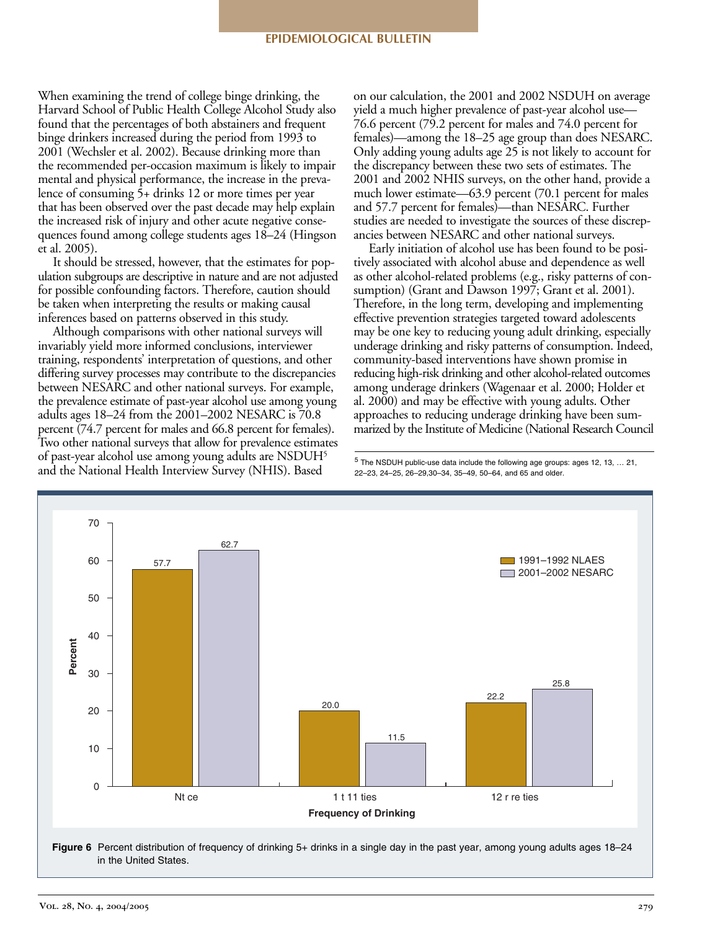When examining the trend of college binge drinking, the Harvard School of Public Health College Alcohol Study also found that the percentages of both abstainers and frequent binge drinkers increased during the period from 1993 to 2001 (Wechsler et al. 2002). Because drinking more than the recommended per-occasion maximum is likely to impair mental and physical performance, the increase in the prevalence of consuming 5+ drinks 12 or more times per year that has been observed over the past decade may help explain the increased risk of injury and other acute negative consequences found among college students ages 18–24 (Hingson et al. 2005).

It should be stressed, however, that the estimates for population subgroups are descriptive in nature and are not adjusted for possible confounding factors. Therefore, caution should be taken when interpreting the results or making causal inferences based on patterns observed in this study.

Although comparisons with other national surveys will invariably yield more informed conclusions, interviewer training, respondents' interpretation of questions, and other differing survey processes may contribute to the discrepancies between NESARC and other national surveys. For example, the prevalence estimate of past-year alcohol use among young adults ages 18–24 from the 2001–2002 NESARC is 70.8 percent (74.7 percent for males and 66.8 percent for females). Two other national surveys that allow for prevalence estimates of past-year alcohol use among young adults are NSDUH<sup>5</sup> and the National Health Interview Survey (NHIS). Based

on our calculation, the 2001 and 2002 NSDUH on average yield a much higher prevalence of past-year alcohol use— 76.6 percent (79.2 percent for males and 74.0 percent for females)—among the 18–25 age group than does NESARC. Only adding young adults age 25 is not likely to account for the discrepancy between these two sets of estimates. The 2001 and 2002 NHIS surveys, on the other hand, provide a much lower estimate—63.9 percent (70.1 percent for males and 57.7 percent for females)—than NESARC. Further studies are needed to investigate the sources of these discrepancies between NESARC and other national surveys.

Early initiation of alcohol use has been found to be positively associated with alcohol abuse and dependence as well as other alcohol-related problems (e.g., risky patterns of consumption) (Grant and Dawson 1997; Grant et al. 2001). Therefore, in the long term, developing and implementing effective prevention strategies targeted toward adolescents may be one key to reducing young adult drinking, especially underage drinking and risky patterns of consumption. Indeed, community-based interventions have shown promise in reducing high-risk drinking and other alcohol-related outcomes among underage drinkers (Wagenaar et al. 2000; Holder et al. 2000) and may be effective with young adults. Other approaches to reducing underage drinking have been summarized by the Institute of Medicine (National Research Council

 $5$  The NSDUH public-use data include the following age groups: ages 12, 13, ... 21, 22–23, 24–25, 26–29,30–34, 35–49, 50–64, and 65 and older.